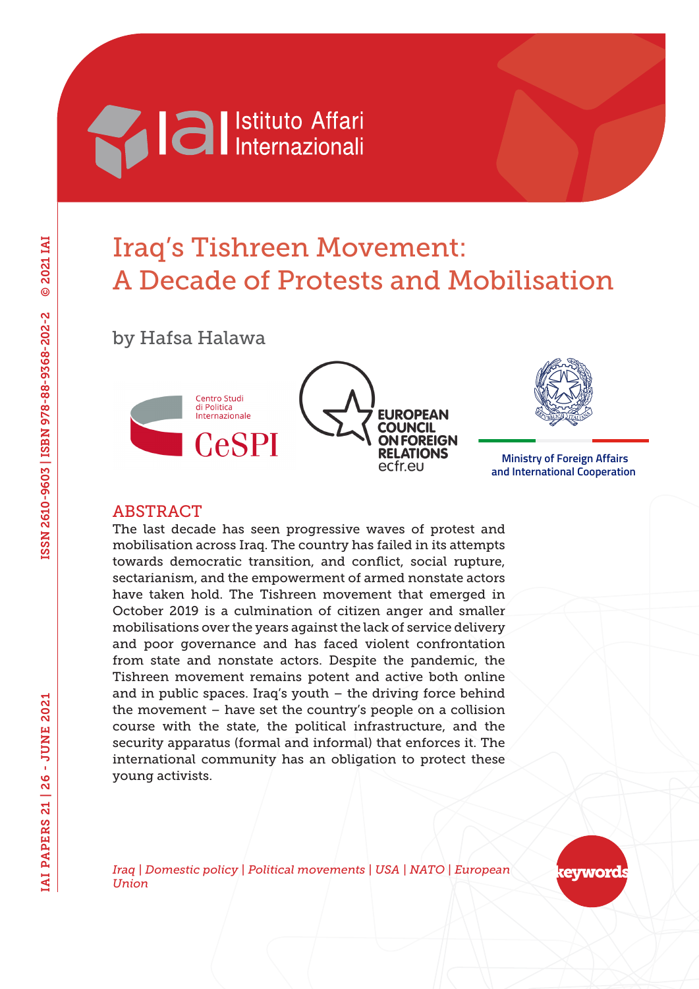

# Iraq's Tishreen Movement: A Decade of Protests and Mobilisation

by Hafsa Halawa





 **Ministry of Foreign Affairs and International Cooperation**

#### ABSTRACT

The last decade has seen progressive waves of protest and mobilisation across Iraq. The country has failed in its attempts towards democratic transition, and conflict, social rupture, sectarianism, and the empowerment of armed nonstate actors have taken hold. The Tishreen movement that emerged in October 2019 is a culmination of citizen anger and smaller mobilisations over the years against the lack of service delivery and poor governance and has faced violent confrontation from state and nonstate actors. Despite the pandemic, the Tishreen movement remains potent and active both online and in public spaces. Iraq's youth  $-$  the driving force behind the movement – have set the country's people on a collision course with the state, the political infrastructure, and the security apparatus (formal and informal) that enforces it. The international community has an obligation to protect these young activists.

*Iraq | Domestic policy | Political movements | USA | NATO | European Union*

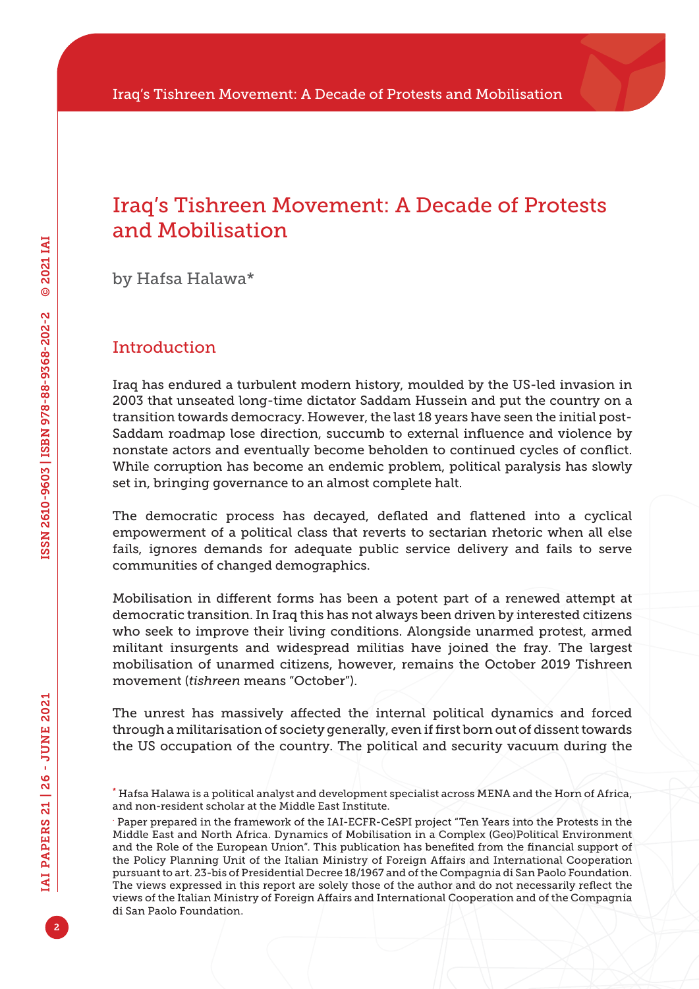### Iraq's Tishreen Movement: A Decade of Protests and Mobilisation

by Hafsa Halawa\*

#### Introduction

Iraq has endured a turbulent modern history, moulded by the US-led invasion in 2003 that unseated long-time dictator Saddam Hussein and put the country on a transition towards democracy. However, the last 18 years have seen the initial post-Saddam roadmap lose direction, succumb to external influence and violence by nonstate actors and eventually become beholden to continued cycles of conflict. While corruption has become an endemic problem, political paralysis has slowly set in, bringing governance to an almost complete halt.

The democratic process has decayed, deflated and flattened into a cyclical empowerment of a political class that reverts to sectarian rhetoric when all else fails, ignores demands for adequate public service delivery and fails to serve communities of changed demographics.

Mobilisation in different forms has been a potent part of a renewed attempt at democratic transition. In Iraq this has not always been driven by interested citizens who seek to improve their living conditions. Alongside unarmed protest, armed militant insurgents and widespread militias have joined the fray. The largest mobilisation of unarmed citizens, however, remains the October 2019 Tishreen movement (*tishreen* means "October").

The unrest has massively affected the internal political dynamics and forced through a militarisation of society generally, even if first born out of dissent towards the US occupation of the country. The political and security vacuum during the

<sup>\*</sup> Hafsa Halawa is a political analyst and development specialist across MENA and the Horn of Africa, and non-resident scholar at the Middle East Institute.

<sup>.</sup> Paper prepared in the framework of the IAI-ECFR-CeSPI project "Ten Years into the Protests in the Middle East and North Africa. Dynamics of Mobilisation in a Complex (Geo)Political Environment and the Role of the European Union". This publication has benefited from the financial support of the Policy Planning Unit of the Italian Ministry of Foreign Affairs and International Cooperation pursuant to art. 23-bis of Presidential Decree 18/1967 and of the Compagnia di San Paolo Foundation. The views expressed in this report are solely those of the author and do not necessarily reflect the views of the Italian Ministry of Foreign Affairs and International Cooperation and of the Compagnia di San Paolo Foundation.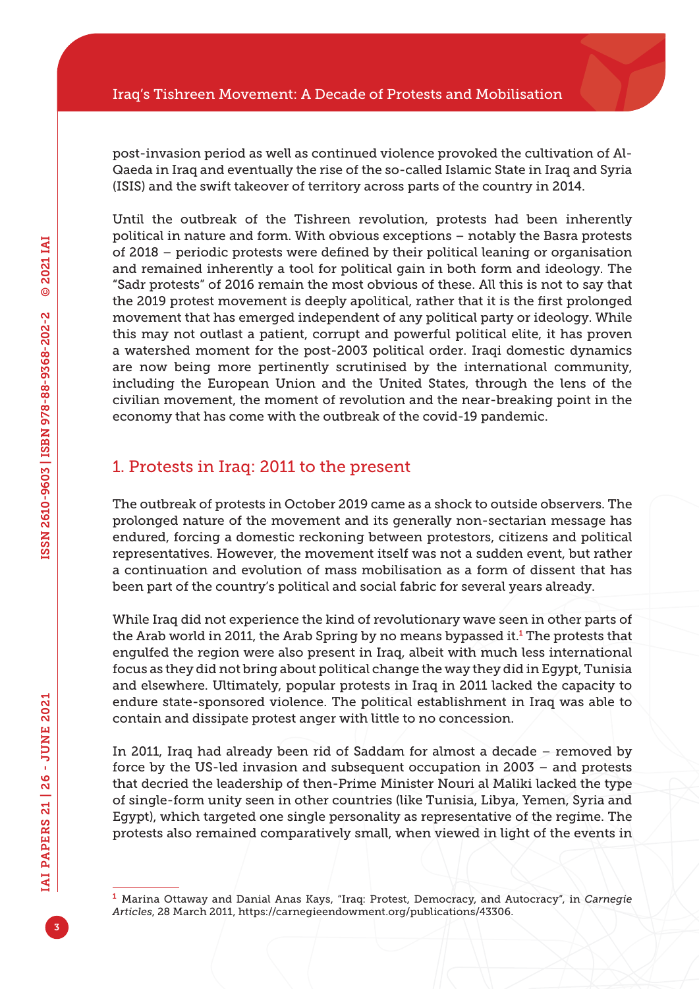post-invasion period as well as continued violence provoked the cultivation of Al-Qaeda in Iraq and eventually the rise of the so-called Islamic State in Iraq and Syria (ISIS) and the swift takeover of territory across parts of the country in 2014.

Until the outbreak of the Tishreen revolution, protests had been inherently political in nature and form. With obvious exceptions – notably the Basra protests of 2018 – periodic protests were defined by their political leaning or organisation and remained inherently a tool for political gain in both form and ideology. The "Sadr protests" of 2016 remain the most obvious of these. All this is not to say that the 2019 protest movement is deeply apolitical, rather that it is the first prolonged movement that has emerged independent of any political party or ideology. While this may not outlast a patient, corrupt and powerful political elite, it has proven a watershed moment for the post-2003 political order. Iraqi domestic dynamics are now being more pertinently scrutinised by the international community, including the European Union and the United States, through the lens of the civilian movement, the moment of revolution and the near-breaking point in the economy that has come with the outbreak of the covid-19 pandemic.

### 1. Protests in Iraq: 2011 to the present

The outbreak of protests in October 2019 came as a shock to outside observers. The prolonged nature of the movement and its generally non-sectarian message has endured, forcing a domestic reckoning between protestors, citizens and political representatives. However, the movement itself was not a sudden event, but rather a continuation and evolution of mass mobilisation as a form of dissent that has been part of the country's political and social fabric for several years already.

While Iraq did not experience the kind of revolutionary wave seen in other parts of the Arab world in 2011, the Arab Spring by no means bypassed it.<sup>1</sup> The protests that engulfed the region were also present in Iraq, albeit with much less international focus as they did not bring about political change the way they did in Egypt, Tunisia and elsewhere. Ultimately, popular protests in Iraq in 2011 lacked the capacity to endure state-sponsored violence. The political establishment in Iraq was able to contain and dissipate protest anger with little to no concession.

In 2011, Iraq had already been rid of Saddam for almost a decade – removed by force by the US-led invasion and subsequent occupation in 2003 – and protests that decried the leadership of then-Prime Minister Nouri al Maliki lacked the type of single-form unity seen in other countries (like Tunisia, Libya, Yemen, Syria and Egypt), which targeted one single personality as representative of the regime. The protests also remained comparatively small, when viewed in light of the events in

<sup>1</sup> Marina Ottaway and Danial Anas Kays, "Iraq: Protest, Democracy, and Autocracy", in *Carnegie Articles*, 28 March 2011,<https://carnegieendowment.org/publications/43306>.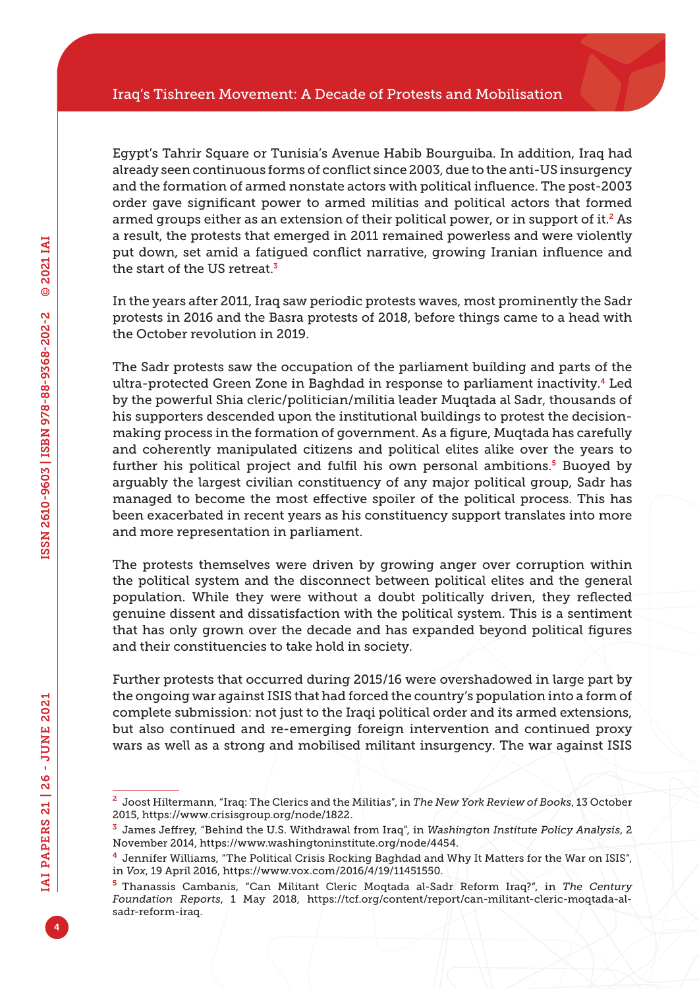Egypt's Tahrir Square or Tunisia's Avenue Habib Bourguiba. In addition, Iraq had already seen continuous forms of conflict since 2003, due to the anti-US insurgency and the formation of armed nonstate actors with political influence. The post-2003 order gave significant power to armed militias and political actors that formed armed groups either as an extension of their political power, or in support of it. $2$  As a result, the protests that emerged in 2011 remained powerless and were violently put down, set amid a fatigued conflict narrative, growing Iranian influence and the start of the US retreat.<sup>3</sup>

In the years after 2011, Iraq saw periodic protests waves, most prominently the Sadr protests in 2016 and the Basra protests of 2018, before things came to a head with the October revolution in 2019.

The Sadr protests saw the occupation of the parliament building and parts of the ultra-protected Green Zone in Baghdad in response to parliament inactivity.4 Led by the powerful Shia cleric/politician/militia leader Muqtada al Sadr, thousands of his supporters descended upon the institutional buildings to protest the decisionmaking process in the formation of government. As a figure, Muqtada has carefully and coherently manipulated citizens and political elites alike over the years to further his political project and fulfil his own personal ambitions.<sup>5</sup> Buoyed by arguably the largest civilian constituency of any major political group, Sadr has managed to become the most effective spoiler of the political process. This has been exacerbated in recent years as his constituency support translates into more and more representation in parliament.

The protests themselves were driven by growing anger over corruption within the political system and the disconnect between political elites and the general population. While they were without a doubt politically driven, they reflected genuine dissent and dissatisfaction with the political system. This is a sentiment that has only grown over the decade and has expanded beyond political figures and their constituencies to take hold in society.

Further protests that occurred during 2015/16 were overshadowed in large part by the ongoing war against ISIS that had forced the country's population into a form of complete submission: not just to the Iraqi political order and its armed extensions, but also continued and re-emerging foreign intervention and continued proxy wars as well as a strong and mobilised militant insurgency. The war against ISIS

<sup>2</sup> Joost Hiltermann, "Iraq: The Clerics and the Militias", in *The New York Review of Books*, 13 October 2015,<https://www.crisisgroup.org/node/1822>.

<sup>3</sup> James Jeffrey, "Behind the U.S. Withdrawal from Iraq", in *Washington Institute Policy Analysis*, 2 November 2014,<https://www.washingtoninstitute.org/node/4454>.

<sup>4</sup> Jennifer Williams, "The Political Crisis Rocking Baghdad and Why It Matters for the War on ISIS", in *Vox*, 19 April 2016, <https://www.vox.com/2016/4/19/11451550>.

<sup>5</sup> Thanassis Cambanis, "Can Militant Cleric Moqtada al-Sadr Reform Iraq?", in *The Century Foundation Reports*, 1 May 2018, [https://tcf.org/content/report/can-militant-cleric-moqtada-al](https://tcf.org/content/report/can-militant-cleric-moqtada-al-sadr-reform-iraq)[sadr-reform-iraq](https://tcf.org/content/report/can-militant-cleric-moqtada-al-sadr-reform-iraq).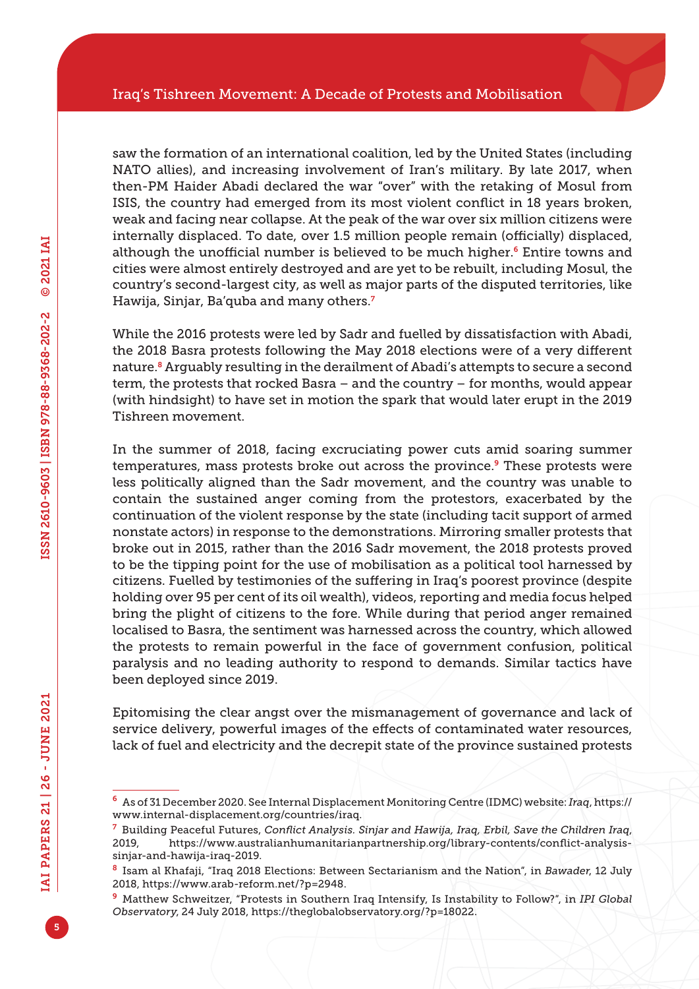saw the formation of an international coalition, led by the United States (including NATO allies), and increasing involvement of Iran's military. By late 2017, when then-PM Haider Abadi declared the war "over" with the retaking of Mosul from ISIS, the country had emerged from its most violent conflict in 18 years broken, weak and facing near collapse. At the peak of the war over six million citizens were internally displaced. To date, over 1.5 million people remain (officially) displaced, although the unofficial number is believed to be much higher.<sup>6</sup> Entire towns and cities were almost entirely destroyed and are yet to be rebuilt, including Mosul, the country's second-largest city, as well as major parts of the disputed territories, like Hawija, Sinjar, Ba'quba and many others.<sup>7</sup>

While the 2016 protests were led by Sadr and fuelled by dissatisfaction with Abadi, the 2018 Basra protests following the May 2018 elections were of a very different nature.8 Arguably resulting in the derailment of Abadi's attempts to secure a second term, the protests that rocked Basra – and the country – for months, would appear (with hindsight) to have set in motion the spark that would later erupt in the 2019 Tishreen movement.

In the summer of 2018, facing excruciating power cuts amid soaring summer temperatures, mass protests broke out across the province.<sup>9</sup> These protests were less politically aligned than the Sadr movement, and the country was unable to contain the sustained anger coming from the protestors, exacerbated by the continuation of the violent response by the state (including tacit support of armed nonstate actors) in response to the demonstrations. Mirroring smaller protests that broke out in 2015, rather than the 2016 Sadr movement, the 2018 protests proved to be the tipping point for the use of mobilisation as a political tool harnessed by citizens. Fuelled by testimonies of the suffering in Iraq's poorest province (despite holding over 95 per cent of its oil wealth), videos, reporting and media focus helped bring the plight of citizens to the fore. While during that period anger remained localised to Basra, the sentiment was harnessed across the country, which allowed the protests to remain powerful in the face of government confusion, political paralysis and no leading authority to respond to demands. Similar tactics have been deployed since 2019.

Epitomising the clear angst over the mismanagement of governance and lack of service delivery, powerful images of the effects of contaminated water resources, lack of fuel and electricity and the decrepit state of the province sustained protests

<sup>6</sup> As of 31 December 2020. See Internal Displacement Monitoring Centre (IDMC) website: *Iraq*, [https://](https://www.internal-displacement.org/countries/iraq) [www.internal-displacement.org/countries/iraq](https://www.internal-displacement.org/countries/iraq).

<sup>7</sup> Building Peaceful Futures, *Conflict Analysis. Sinjar and Hawija, Iraq, Erbil, Save the Children Iraq*, 2019, [https://www.australianhumanitarianpartnership.org/library-contents/conflict-analysis](https://www.australianhumanitarianpartnership.org/library-contents/conflict-analysis-sinjar-and-hawija-iraq-2019)[sinjar-and-hawija-iraq-2019.](https://www.australianhumanitarianpartnership.org/library-contents/conflict-analysis-sinjar-and-hawija-iraq-2019)

<sup>8</sup> Isam al Khafaji, "Iraq 2018 Elections: Between Sectarianism and the Nation", in *Bawader*, 12 July 2018, [https://www.arab-reform.net/?p=2948.](https://www.arab-reform.net/?p=2948)

<sup>9</sup> Matthew Schweitzer, "Protests in Southern Iraq Intensify, Is Instability to Follow?", in *IPI Global Observatory*, 24 July 2018, [https://theglobalobservatory.org/?p=18022.](https://theglobalobservatory.org/?p=18022)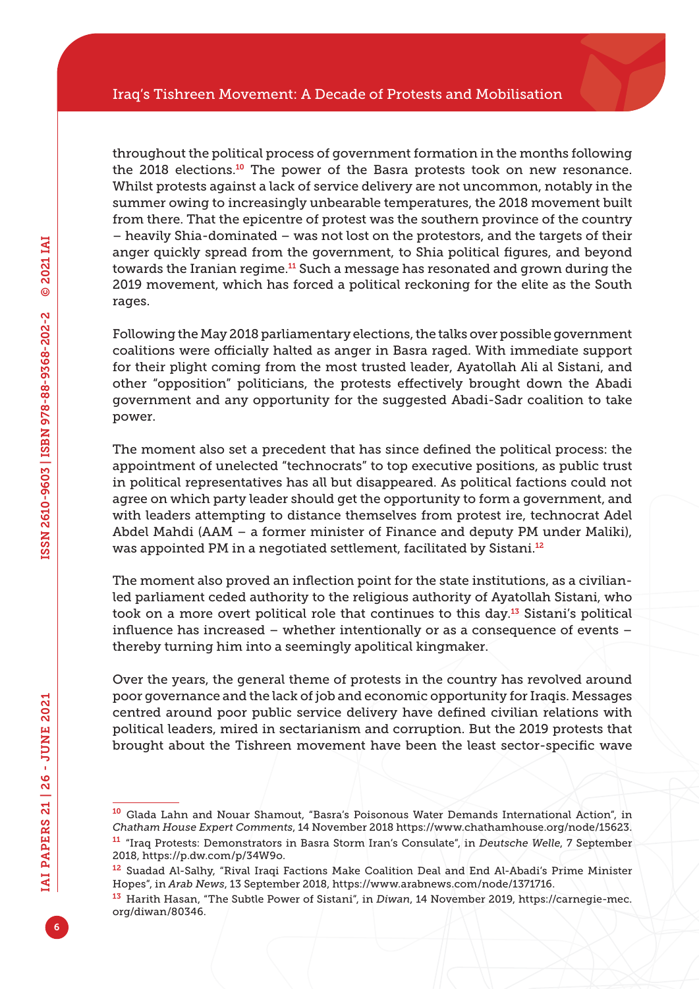throughout the political process of government formation in the months following the 2018 elections.<sup>10</sup> The power of the Basra protests took on new resonance. Whilst protests against a lack of service delivery are not uncommon, notably in the summer owing to increasingly unbearable temperatures, the 2018 movement built from there. That the epicentre of protest was the southern province of the country – heavily Shia-dominated – was not lost on the protestors, and the targets of their anger quickly spread from the government, to Shia political figures, and beyond towards the Iranian regime.<sup>11</sup> Such a message has resonated and grown during the 2019 movement, which has forced a political reckoning for the elite as the South rages.

Following the May 2018 parliamentary elections, the talks over possible government coalitions were officially halted as anger in Basra raged. With immediate support for their plight coming from the most trusted leader, Ayatollah Ali al Sistani, and other "opposition" politicians, the protests effectively brought down the Abadi government and any opportunity for the suggested Abadi-Sadr coalition to take power.

The moment also set a precedent that has since defined the political process: the appointment of unelected "technocrats" to top executive positions, as public trust in political representatives has all but disappeared. As political factions could not agree on which party leader should get the opportunity to form a government, and with leaders attempting to distance themselves from protest ire, technocrat Adel Abdel Mahdi (AAM – a former minister of Finance and deputy PM under Maliki), was appointed PM in a negotiated settlement, facilitated by Sistani.<sup>12</sup>

The moment also proved an inflection point for the state institutions, as a civilianled parliament ceded authority to the religious authority of Ayatollah Sistani, who took on a more overt political role that continues to this day.13 Sistani's political influence has increased – whether intentionally or as a consequence of events – thereby turning him into a seemingly apolitical kingmaker.

Over the years, the general theme of protests in the country has revolved around poor governance and the lack of job and economic opportunity for Iraqis. Messages centred around poor public service delivery have defined civilian relations with political leaders, mired in sectarianism and corruption. But the 2019 protests that brought about the Tishreen movement have been the least sector-specific wave

<sup>10</sup> Glada Lahn and Nouar Shamout, "Basra's Poisonous Water Demands International Action", in *Chatham House Expert Comments*, 14 November 2018 <https://www.chathamhouse.org/node/15623>. <sup>11</sup> "Iraq Protests: Demonstrators in Basra Storm Iran's Consulate", in *Deutsche Welle*, 7 September 2018, [https://p.dw.com/p/34W9o.](https://p.dw.com/p/34W9o)

<sup>12</sup> Suadad Al-Salhy, "Rival Iraqi Factions Make Coalition Deal and End Al-Abadi's Prime Minister Hopes", in *Arab News*, 13 September 2018,<https://www.arabnews.com/node/1371716>.

<sup>13</sup> Harith Hasan, "The Subtle Power of Sistani", in *Diwan*, 14 November 2019, [https://carnegie-mec.](https://carnegie-mec.org/diwan/80346) [org/diwan/80346](https://carnegie-mec.org/diwan/80346).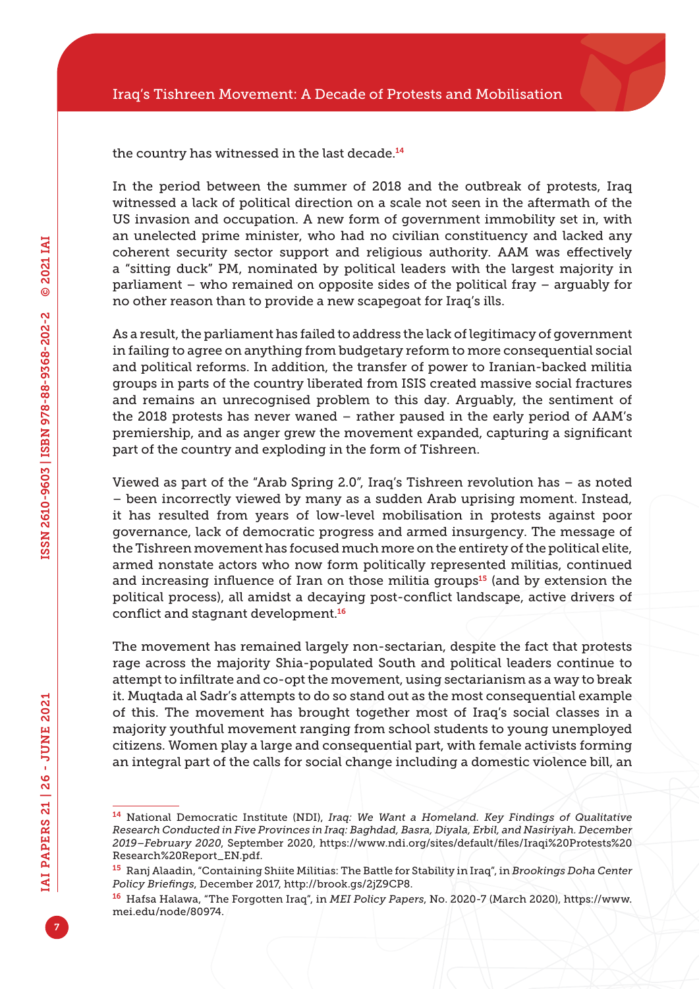the country has witnessed in the last decade.<sup>14</sup>

In the period between the summer of 2018 and the outbreak of protests, Iraq witnessed a lack of political direction on a scale not seen in the aftermath of the US invasion and occupation. A new form of government immobility set in, with an unelected prime minister, who had no civilian constituency and lacked any coherent security sector support and religious authority. AAM was effectively a "sitting duck" PM, nominated by political leaders with the largest majority in parliament – who remained on opposite sides of the political fray – arguably for no other reason than to provide a new scapegoat for Iraq's ills.

As a result, the parliament has failed to address the lack of legitimacy of government in failing to agree on anything from budgetary reform to more consequential social and political reforms. In addition, the transfer of power to Iranian-backed militia groups in parts of the country liberated from ISIS created massive social fractures and remains an unrecognised problem to this day. Arguably, the sentiment of the 2018 protests has never waned – rather paused in the early period of AAM's premiership, and as anger grew the movement expanded, capturing a significant part of the country and exploding in the form of Tishreen.

Viewed as part of the "Arab Spring 2.0", Iraq's Tishreen revolution has – as noted – been incorrectly viewed by many as a sudden Arab uprising moment. Instead, it has resulted from years of low-level mobilisation in protests against poor governance, lack of democratic progress and armed insurgency. The message of the Tishreen movement has focused much more on the entirety of the political elite, armed nonstate actors who now form politically represented militias, continued and increasing influence of Iran on those militia groups $15$  (and by extension the political process), all amidst a decaying post-conflict landscape, active drivers of conflict and stagnant development.<sup>16</sup>

The movement has remained largely non-sectarian, despite the fact that protests rage across the majority Shia-populated South and political leaders continue to attempt to infiltrate and co-opt the movement, using sectarianism as a way to break it. Muqtada al Sadr's attempts to do so stand out as the most consequential example of this. The movement has brought together most of Iraq's social classes in a majority youthful movement ranging from school students to young unemployed citizens. Women play a large and consequential part, with female activists forming an integral part of the calls for social change including a domestic violence bill, an

<sup>14</sup> National Democratic Institute (NDI), *Iraq: We Want a Homeland. Key Findings of Qualitative Research Conducted in Five Provinces in Iraq: Baghdad, Basra, Diyala, Erbil, and Nasiriyah. December 2019–February 2020*, September 2020, [https://www.ndi.org/sites/default/files/Iraqi%20Protests%20](https://www.ndi.org/sites/default/files/Iraqi%20Protests%20Research%20Report_EN.pdf) [Research%20Report\\_EN.pdf](https://www.ndi.org/sites/default/files/Iraqi%20Protests%20Research%20Report_EN.pdf).

<sup>15</sup> Ranj Alaadin, "Containing Shiite Militias: The Battle for Stability in Iraq", in *Brookings Doha Center Policy Briefings*, December 2017, [http://brook.gs/2jZ9CP8.](http://brook.gs/2jZ9CP8)

<sup>16</sup> Hafsa Halawa, "The Forgotten Iraq", in *MEI Policy Papers*, No. 2020-7 (March 2020), [https://www.](https://www.mei.edu/node/80974) [mei.edu/node/80974.](https://www.mei.edu/node/80974)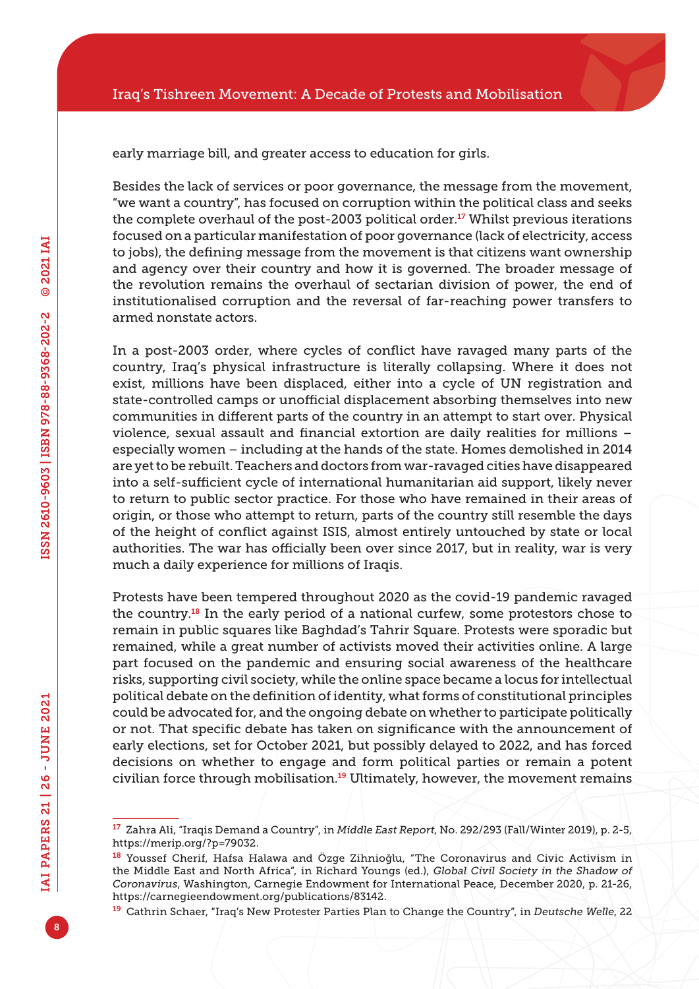early marriage bill, and greater access to education for girls.

Besides the lack of services or poor governance, the message from the movement, "we want a country", has focused on corruption within the political class and seeks the complete overhaul of the post-2003 political order.<sup>17</sup> Whilst previous iterations focused on a particular manifestation of poor governance (lack of electricity, access to jobs), the defining message from the movement is that citizens want ownership and agency over their country and how it is governed. The broader message of the revolution remains the overhaul of sectarian division of power, the end of institutionalised corruption and the reversal of far-reaching power transfers to armed nonstate actors.

In a post-2003 order, where cycles of conflict have ravaged many parts of the country, Iraq's physical infrastructure is literally collapsing. Where it does not exist, millions have been displaced, either into a cycle of UN registration and state-controlled camps or unofficial displacement absorbing themselves into new communities in different parts of the country in an attempt to start over. Physical violence, sexual assault and financial extortion are daily realities for millions – especially women – including at the hands of the state. Homes demolished in 2014 are yet to be rebuilt. Teachers and doctors from war-ravaged cities have disappeared into a self-sufficient cycle of international humanitarian aid support, likely never to return to public sector practice. For those who have remained in their areas of origin, or those who attempt to return, parts of the country still resemble the days of the height of conflict against ISIS, almost entirely untouched by state or local authorities. The war has officially been over since 2017, but in reality, war is very much a daily experience for millions of Iraqis.

Protests have been tempered throughout 2020 as the covid-19 pandemic ravaged the country.18 In the early period of a national curfew, some protestors chose to remain in public squares like Baghdad's Tahrir Square. Protests were sporadic but remained, while a great number of activists moved their activities online. A large part focused on the pandemic and ensuring social awareness of the healthcare risks, supporting civil society, while the online space became a locus for intellectual political debate on the definition of identity, what forms of constitutional principles could be advocated for, and the ongoing debate on whether to participate politically or not. That specific debate has taken on significance with the announcement of early elections, set for October 2021, but possibly delayed to 2022, and has forced decisions on whether to engage and form political parties or remain a potent civilian force through mobilisation.<sup>19</sup> Ultimately, however, the movement remains

<sup>17</sup> Zahra Ali, "Iraqis Demand a Country", in *Middle East Report*, No. 292/293 (Fall/Winter 2019), p. 2-5, [https://merip.org/?p=79032.](https://merip.org/?p=79032)

<sup>&</sup>lt;sup>18</sup> Youssef Cherif, Hafsa Halawa and Özge Zihnioğlu, "The Coronavirus and Civic Activism in the Middle East and North Africa", in Richard Youngs (ed.), *Global Civil Society in the Shadow of Coronavirus*, Washington, Carnegie Endowment for International Peace, December 2020, p. 21-26, <https://carnegieendowment.org/publications/83142>.

<sup>19</sup> Cathrin Schaer, "Iraq's New Protester Parties Plan to Change the Country", in *Deutsche Welle*, 22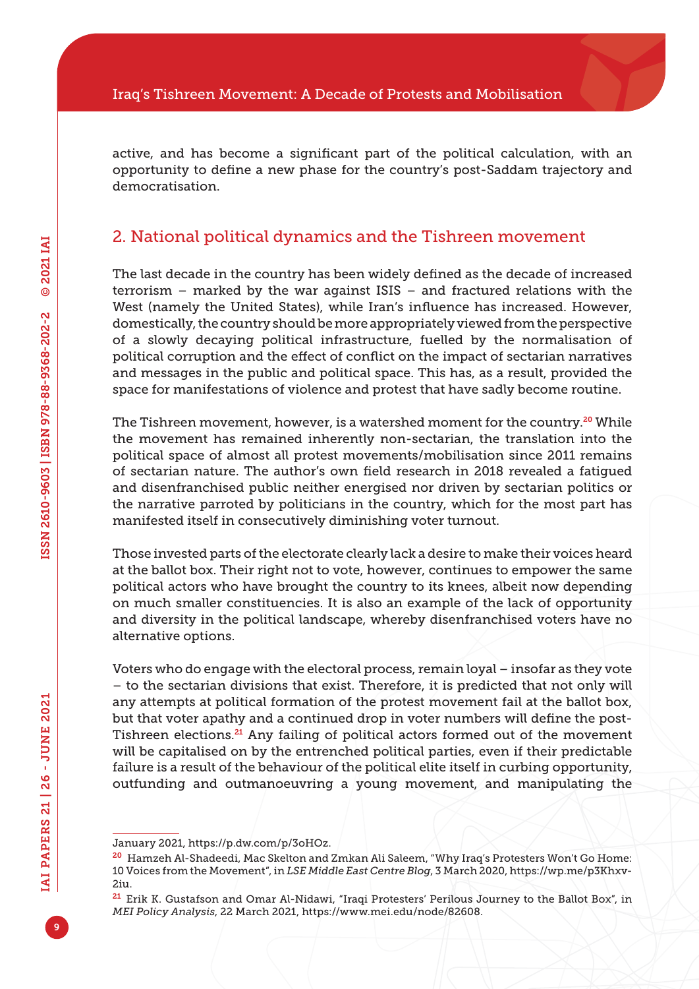active, and has become a significant part of the political calculation, with an opportunity to define a new phase for the country's post-Saddam trajectory and democratisation.

### 2. National political dynamics and the Tishreen movement

The last decade in the country has been widely defined as the decade of increased terrorism – marked by the war against ISIS – and fractured relations with the West (namely the United States), while Iran's influence has increased. However, domestically, the country should be more appropriately viewed from the perspective of a slowly decaying political infrastructure, fuelled by the normalisation of political corruption and the effect of conflict on the impact of sectarian narratives and messages in the public and political space. This has, as a result, provided the space for manifestations of violence and protest that have sadly become routine.

The Tishreen movement, however, is a watershed moment for the country.<sup>20</sup> While the movement has remained inherently non-sectarian, the translation into the political space of almost all protest movements/mobilisation since 2011 remains of sectarian nature. The author's own field research in 2018 revealed a fatigued and disenfranchised public neither energised nor driven by sectarian politics or the narrative parroted by politicians in the country, which for the most part has manifested itself in consecutively diminishing voter turnout.

Those invested parts of the electorate clearly lack a desire to make their voices heard at the ballot box. Their right not to vote, however, continues to empower the same political actors who have brought the country to its knees, albeit now depending on much smaller constituencies. It is also an example of the lack of opportunity and diversity in the political landscape, whereby disenfranchised voters have no alternative options.

Voters who do engage with the electoral process, remain loyal – insofar as they vote – to the sectarian divisions that exist. Therefore, it is predicted that not only will any attempts at political formation of the protest movement fail at the ballot box, but that voter apathy and a continued drop in voter numbers will define the post-Tishreen elections.<sup>21</sup> Any failing of political actors formed out of the movement will be capitalised on by the entrenched political parties, even if their predictable failure is a result of the behaviour of the political elite itself in curbing opportunity, outfunding and outmanoeuvring a young movement, and manipulating the

January 2021, [https://p.dw.com/p/3oHOz.](https://p.dw.com/p/3oHOz)

<sup>&</sup>lt;sup>20</sup> Hamzeh Al-Shadeedi, Mac Skelton and Zmkan Ali Saleem, "Why Iraq's Protesters Won't Go Home: 10 Voices from the Movement", in *LSE Middle East Centre Blog*, 3 March 2020, [https://wp.me/p3Khxv-](https://wp.me/p3Khxv-2iu)[2iu](https://wp.me/p3Khxv-2iu).

<sup>&</sup>lt;sup>21</sup> Erik K. Gustafson and Omar Al-Nidawi, "Iraqi Protesters' Perilous Journey to the Ballot Box", in *MEI Policy Analysis*, 22 March 2021,<https://www.mei.edu/node/82608>.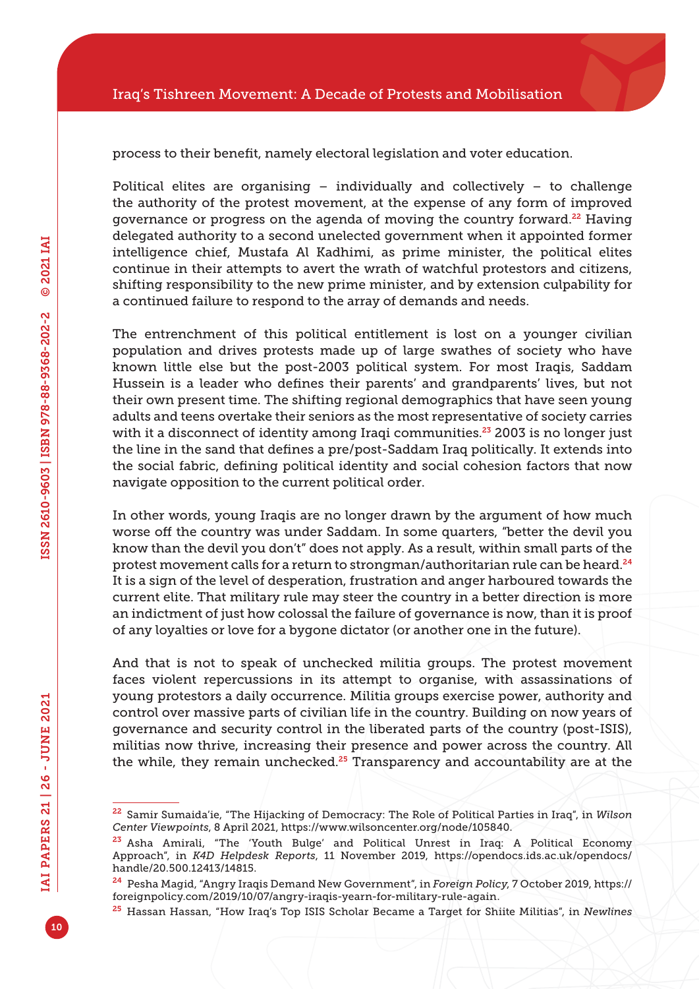process to their benefit, namely electoral legislation and voter education.

Political elites are organising – individually and collectively – to challenge the authority of the protest movement, at the expense of any form of improved governance or progress on the agenda of moving the country forward.22 Having delegated authority to a second unelected government when it appointed former intelligence chief, Mustafa Al Kadhimi, as prime minister, the political elites continue in their attempts to avert the wrath of watchful protestors and citizens, shifting responsibility to the new prime minister, and by extension culpability for a continued failure to respond to the array of demands and needs.

The entrenchment of this political entitlement is lost on a younger civilian population and drives protests made up of large swathes of society who have known little else but the post-2003 political system. For most Iraqis, Saddam Hussein is a leader who defines their parents' and grandparents' lives, but not their own present time. The shifting regional demographics that have seen young adults and teens overtake their seniors as the most representative of society carries with it a disconnect of identity among Iraqi communities.<sup>23</sup> 2003 is no longer just the line in the sand that defines a pre/post-Saddam Iraq politically. It extends into the social fabric, defining political identity and social cohesion factors that now navigate opposition to the current political order.

In other words, young Iraqis are no longer drawn by the argument of how much worse off the country was under Saddam. In some quarters, "better the devil you know than the devil you don't" does not apply. As a result, within small parts of the protest movement calls for a return to strongman/authoritarian rule can be heard.<sup>24</sup> It is a sign of the level of desperation, frustration and anger harboured towards the current elite. That military rule may steer the country in a better direction is more an indictment of just how colossal the failure of governance is now, than it is proof of any loyalties or love for a bygone dictator (or another one in the future).

And that is not to speak of unchecked militia groups. The protest movement faces violent repercussions in its attempt to organise, with assassinations of young protestors a daily occurrence. Militia groups exercise power, authority and control over massive parts of civilian life in the country. Building on now years of governance and security control in the liberated parts of the country (post-ISIS), militias now thrive, increasing their presence and power across the country. All the while, they remain unchecked.<sup>25</sup> Transparency and accountability are at the

<sup>22</sup> Samir Sumaida'ie, "The Hijacking of Democracy: The Role of Political Parties in Iraq", in *Wilson Center Viewpoints*, 8 April 2021, <https://www.wilsoncenter.org/node/105840>.

<sup>23</sup> Asha Amirali, "The 'Youth Bulge' and Political Unrest in Iraq: A Political Economy Approach", in *K4D Helpdesk Reports*, 11 November 2019, [https://opendocs.ids.ac.uk/opendocs/](https://opendocs.ids.ac.uk/opendocs/handle/20.500.12413/14815) [handle/20.500.12413/14815](https://opendocs.ids.ac.uk/opendocs/handle/20.500.12413/14815).

<sup>24</sup> Pesha Magid, "Angry Iraqis Demand New Government", in *Foreign Policy*, 7 October 2019, [https://](https://foreignpolicy.com/2019/10/07/angry-iraqis-yearn-for-military-rule-again) [foreignpolicy.com/2019/10/07/angry-iraqis-yearn-for-military-rule-again](https://foreignpolicy.com/2019/10/07/angry-iraqis-yearn-for-military-rule-again).

<sup>25</sup> Hassan Hassan, "How Iraq's Top ISIS Scholar Became a Target for Shiite Militias", in *Newlines*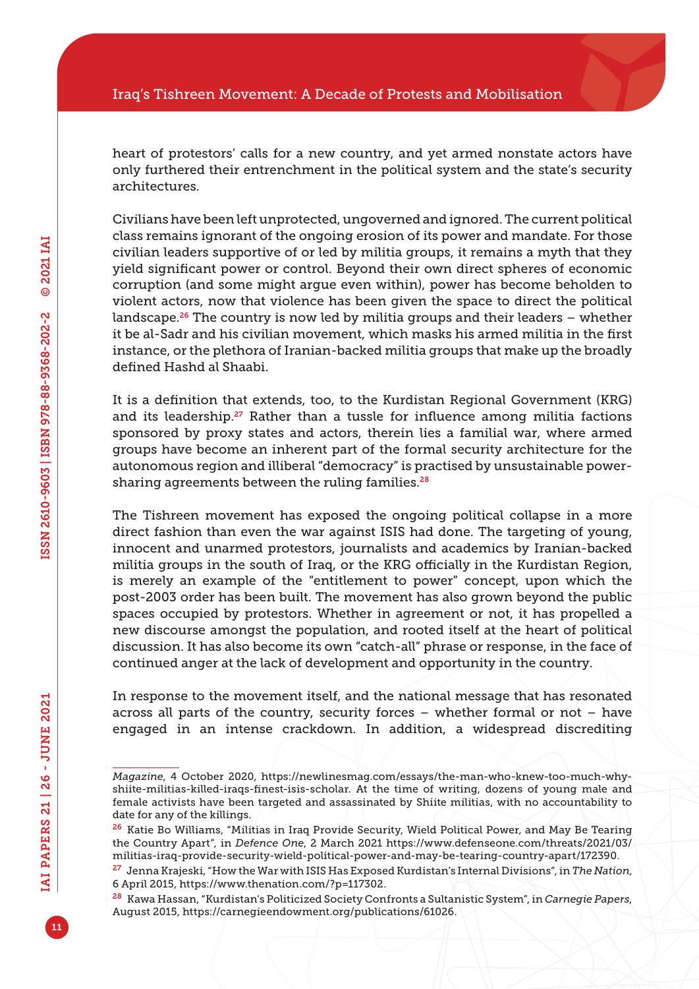heart of protestors' calls for a new country, and yet armed nonstate actors have only furthered their entrenchment in the political system and the state's security architectures.

Civilians have been left unprotected, ungoverned and ignored. The current political class remains ignorant of the ongoing erosion of its power and mandate. For those civilian leaders supportive of or led by militia groups, it remains a myth that they yield significant power or control. Beyond their own direct spheres of economic corruption (and some might argue even within), power has become beholden to violent actors, now that violence has been given the space to direct the political landscape.<sup>26</sup> The country is now led by militia groups and their leaders  $-$  whether it be al-Sadr and his civilian movement, which masks his armed militia in the first instance, or the plethora of Iranian-backed militia groups that make up the broadly defined Hashd al Shaabi.

It is a definition that extends, too, to the Kurdistan Regional Government (KRG) and its leadership.<sup>27</sup> Rather than a tussle for influence among militia factions sponsored by proxy states and actors, therein lies a familial war, where armed groups have become an inherent part of the formal security architecture for the autonomous region and illiberal "democracy" is practised by unsustainable powersharing agreements between the ruling families. $28$ 

The Tishreen movement has exposed the ongoing political collapse in a more direct fashion than even the war against ISIS had done. The targeting of young, innocent and unarmed protestors, journalists and academics by Iranian-backed militia groups in the south of Iraq, or the KRG officially in the Kurdistan Region, is merely an example of the "entitlement to power" concept, upon which the post-2003 order has been built. The movement has also grown beyond the public spaces occupied by protestors. Whether in agreement or not, it has propelled a new discourse amongst the population, and rooted itself at the heart of political discussion. It has also become its own "catch-all" phrase or response, in the face of continued anger at the lack of development and opportunity in the country.

In response to the movement itself, and the national message that has resonated across all parts of the country, security forces – whether formal or not – have engaged in an intense crackdown. In addition, a widespread discrediting

*Magazine*, 4 October 2020, [https://newlinesmag.com/essays/the-man-who-knew-too-much-why](https://newlinesmag.com/essays/the-man-who-knew-too-much-why-shiite-militias-killed-iraqs-finest-isis-scholar)[shiite-militias-killed-iraqs-finest-isis-scholar.](https://newlinesmag.com/essays/the-man-who-knew-too-much-why-shiite-militias-killed-iraqs-finest-isis-scholar) At the time of writing, dozens of young male and female activists have been targeted and assassinated by Shiite militias, with no accountability to date for any of the killings.

<sup>26</sup> Katie Bo Williams, "Militias in Iraq Provide Security, Wield Political Power, and May Be Tearing the Country Apart", in *Defence One*, 2 March 2021 [https://www.defenseone.com/threats/2021/03/](https://www.defenseone.com/threats/2021/03/militias-iraq-provide-security-wield-political-power-and-may-be-tearing-country-apart/172390) [militias-iraq-provide-security-wield-political-power-and-may-be-tearing-country-apart/172390](https://www.defenseone.com/threats/2021/03/militias-iraq-provide-security-wield-political-power-and-may-be-tearing-country-apart/172390).

<sup>27</sup> Jenna Krajeski, "How the War with ISIS Has Exposed Kurdistan's Internal Divisions", in *The Nation*, 6 April 2015, [https://www.thenation.com/?p=117302.](https://www.thenation.com/?p=117302)

<sup>28</sup> Kawa Hassan, "Kurdistan's Politicized Society Confronts a Sultanistic System", in *Carnegie Papers*, August 2015, <https://carnegieendowment.org/publications/61026>.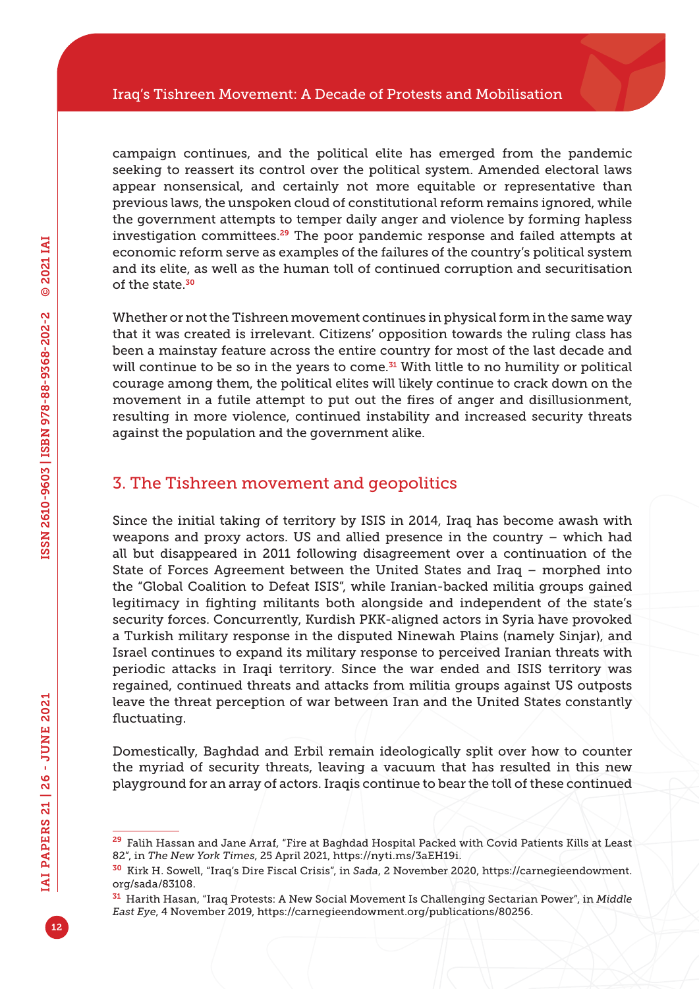campaign continues, and the political elite has emerged from the pandemic seeking to reassert its control over the political system. Amended electoral laws appear nonsensical, and certainly not more equitable or representative than previous laws, the unspoken cloud of constitutional reform remains ignored, while the government attempts to temper daily anger and violence by forming hapless investigation committees.<sup>29</sup> The poor pandemic response and failed attempts at economic reform serve as examples of the failures of the country's political system and its elite, as well as the human toll of continued corruption and securitisation of the state.<sup>30</sup>

Whether or not the Tishreen movement continues in physical form in the same way that it was created is irrelevant. Citizens' opposition towards the ruling class has been a mainstay feature across the entire country for most of the last decade and will continue to be so in the years to come.<sup>31</sup> With little to no humility or political courage among them, the political elites will likely continue to crack down on the movement in a futile attempt to put out the fires of anger and disillusionment, resulting in more violence, continued instability and increased security threats against the population and the government alike.

#### 3. The Tishreen movement and geopolitics

Since the initial taking of territory by ISIS in 2014, Iraq has become awash with weapons and proxy actors. US and allied presence in the country – which had all but disappeared in 2011 following disagreement over a continuation of the State of Forces Agreement between the United States and Iraq – morphed into the "Global Coalition to Defeat ISIS", while Iranian-backed militia groups gained legitimacy in fighting militants both alongside and independent of the state's security forces. Concurrently, Kurdish PKK-aligned actors in Syria have provoked a Turkish military response in the disputed Ninewah Plains (namely Sinjar), and Israel continues to expand its military response to perceived Iranian threats with periodic attacks in Iraqi territory. Since the war ended and ISIS territory was regained, continued threats and attacks from militia groups against US outposts leave the threat perception of war between Iran and the United States constantly fluctuating.

Domestically, Baghdad and Erbil remain ideologically split over how to counter the myriad of security threats, leaving a vacuum that has resulted in this new playground for an array of actors. Iraqis continue to bear the toll of these continued

<sup>&</sup>lt;sup>29</sup> Falih Hassan and Jane Arraf, "Fire at Baghdad Hospital Packed with Covid Patients Kills at Least 82", in *The New York Times*, 25 April 2021, <https://nyti.ms/3aEH19i>.

<sup>30</sup> Kirk H. Sowell, "Iraq's Dire Fiscal Crisis", in *Sada*, 2 November 2020, [https://carnegieendowment.](https://carnegieendowment.org/sada/83108) [org/sada/83108](https://carnegieendowment.org/sada/83108).

<sup>31</sup> Harith Hasan, "Iraq Protests: A New Social Movement Is Challenging Sectarian Power", in *Middle East Eye*, 4 November 2019, [https://carnegieendowment.org/publications/80256.](https://carnegieendowment.org/publications/80256)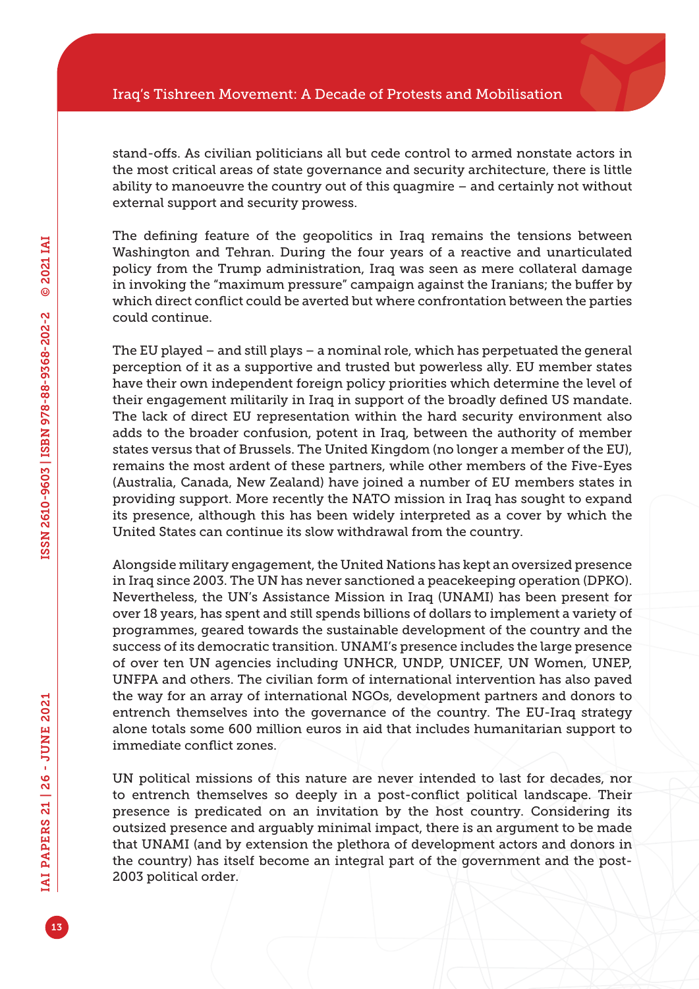stand-offs. As civilian politicians all but cede control to armed nonstate actors in the most critical areas of state governance and security architecture, there is little ability to manoeuvre the country out of this quagmire – and certainly not without external support and security prowess.

The defining feature of the geopolitics in Iraq remains the tensions between Washington and Tehran. During the four years of a reactive and unarticulated policy from the Trump administration, Iraq was seen as mere collateral damage in invoking the "maximum pressure" campaign against the Iranians; the buffer by which direct conflict could be averted but where confrontation between the parties could continue.

The EU played – and still plays – a nominal role, which has perpetuated the general perception of it as a supportive and trusted but powerless ally. EU member states have their own independent foreign policy priorities which determine the level of their engagement militarily in Iraq in support of the broadly defined US mandate. The lack of direct EU representation within the hard security environment also adds to the broader confusion, potent in Iraq, between the authority of member states versus that of Brussels. The United Kingdom (no longer a member of the EU), remains the most ardent of these partners, while other members of the Five-Eyes (Australia, Canada, New Zealand) have joined a number of EU members states in providing support. More recently the NATO mission in Iraq has sought to expand its presence, although this has been widely interpreted as a cover by which the United States can continue its slow withdrawal from the country.

Alongside military engagement, the United Nations has kept an oversized presence in Iraq since 2003. The UN has never sanctioned a peacekeeping operation (DPKO). Nevertheless, the UN's Assistance Mission in Iraq (UNAMI) has been present for over 18 years, has spent and still spends billions of dollars to implement a variety of programmes, geared towards the sustainable development of the country and the success of its democratic transition. UNAMI's presence includes the large presence of over ten UN agencies including UNHCR, UNDP, UNICEF, UN Women, UNEP, UNFPA and others. The civilian form of international intervention has also paved the way for an array of international NGOs, development partners and donors to entrench themselves into the governance of the country. The EU-Iraq strategy alone totals some 600 million euros in aid that includes humanitarian support to immediate conflict zones.

UN political missions of this nature are never intended to last for decades, nor to entrench themselves so deeply in a post-conflict political landscape. Their presence is predicated on an invitation by the host country. Considering its outsized presence and arguably minimal impact, there is an argument to be made that UNAMI (and by extension the plethora of development actors and donors in the country) has itself become an integral part of the government and the post-2003 political order.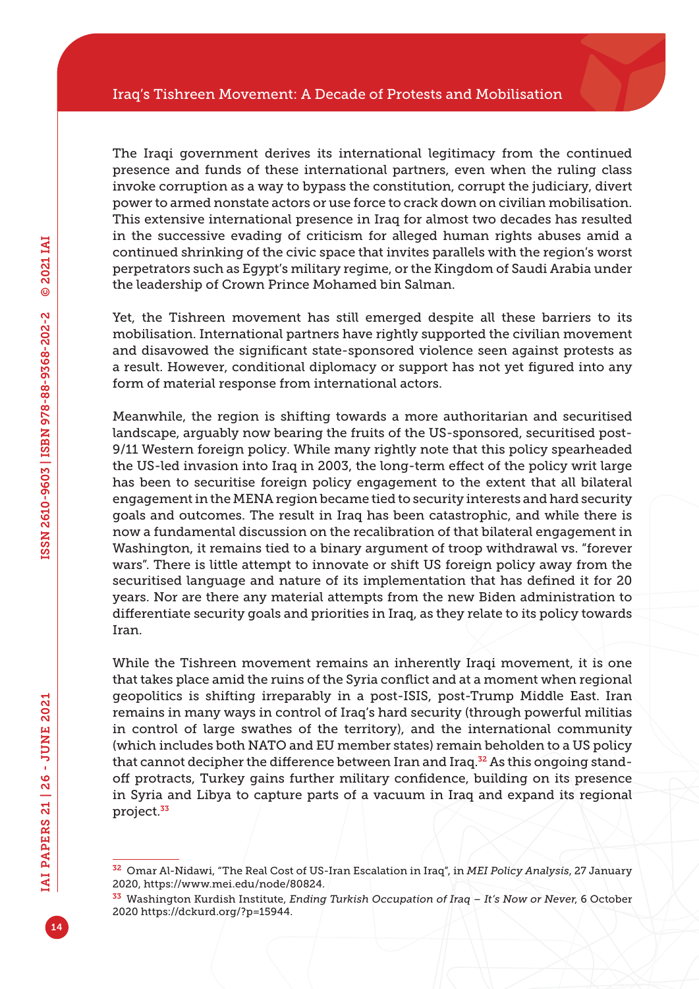The Iraqi government derives its international legitimacy from the continued presence and funds of these international partners, even when the ruling class invoke corruption as a way to bypass the constitution, corrupt the judiciary, divert power to armed nonstate actors or use force to crack down on civilian mobilisation. This extensive international presence in Iraq for almost two decades has resulted in the successive evading of criticism for alleged human rights abuses amid a continued shrinking of the civic space that invites parallels with the region's worst perpetrators such as Egypt's military regime, or the Kingdom of Saudi Arabia under the leadership of Crown Prince Mohamed bin Salman.

Yet, the Tishreen movement has still emerged despite all these barriers to its mobilisation. International partners have rightly supported the civilian movement and disavowed the significant state-sponsored violence seen against protests as a result. However, conditional diplomacy or support has not yet figured into any form of material response from international actors.

Meanwhile, the region is shifting towards a more authoritarian and securitised landscape, arguably now bearing the fruits of the US-sponsored, securitised post-9/11 Western foreign policy. While many rightly note that this policy spearheaded the US-led invasion into Iraq in 2003, the long-term effect of the policy writ large has been to securitise foreign policy engagement to the extent that all bilateral engagement in the MENA region became tied to security interests and hard security goals and outcomes. The result in Iraq has been catastrophic, and while there is now a fundamental discussion on the recalibration of that bilateral engagement in Washington, it remains tied to a binary argument of troop withdrawal vs. "forever wars". There is little attempt to innovate or shift US foreign policy away from the securitised language and nature of its implementation that has defined it for 20 years. Nor are there any material attempts from the new Biden administration to differentiate security goals and priorities in Iraq, as they relate to its policy towards Iran.

While the Tishreen movement remains an inherently Iraqi movement, it is one that takes place amid the ruins of the Syria conflict and at a moment when regional geopolitics is shifting irreparably in a post-ISIS, post-Trump Middle East. Iran remains in many ways in control of Iraq's hard security (through powerful militias in control of large swathes of the territory), and the international community (which includes both NATO and EU member states) remain beholden to a US policy that cannot decipher the difference between Iran and Iraq.<sup>32</sup> As this ongoing standoff protracts, Turkey gains further military confidence, building on its presence in Syria and Libya to capture parts of a vacuum in Iraq and expand its regional project.<sup>33</sup>

<sup>32</sup> Omar Al-Nidawi, "The Real Cost of US-Iran Escalation in Iraq", in *MEI Policy Analysis*, 27 January 2020,<https://www.mei.edu/node/80824>.

<sup>33</sup> Washington Kurdish Institute, *Ending Turkish Occupation of Iraq – It's Now or Never*, 6 October 2020 [https://dckurd.org/?p=15944.](https://dckurd.org/?p=15944)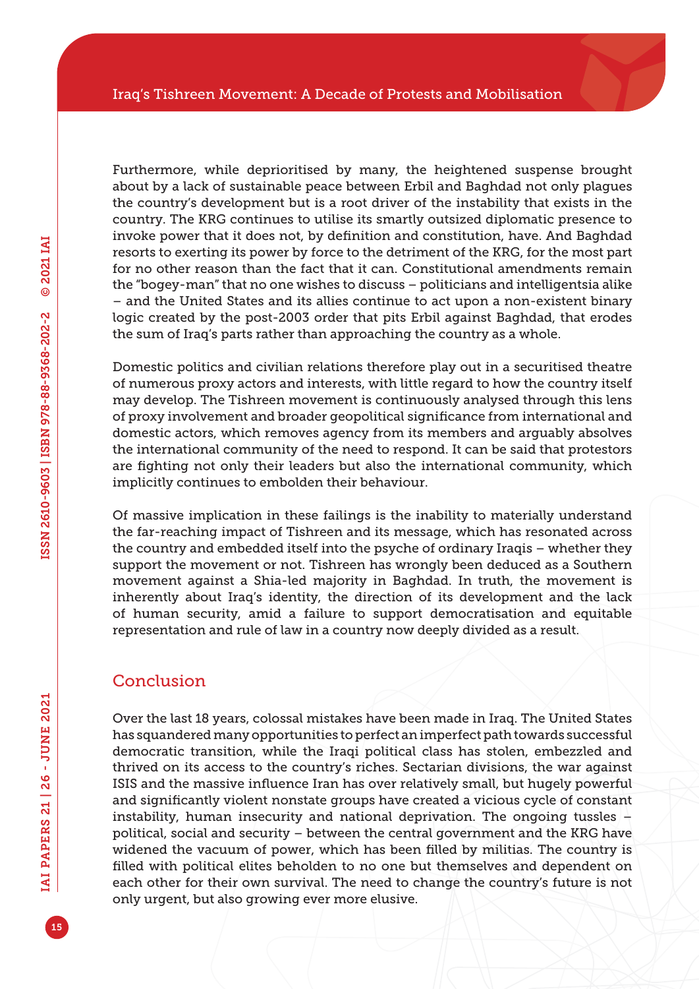Furthermore, while deprioritised by many, the heightened suspense brought about by a lack of sustainable peace between Erbil and Baghdad not only plagues the country's development but is a root driver of the instability that exists in the country. The KRG continues to utilise its smartly outsized diplomatic presence to invoke power that it does not, by definition and constitution, have. And Baghdad resorts to exerting its power by force to the detriment of the KRG, for the most part for no other reason than the fact that it can. Constitutional amendments remain the "bogey-man" that no one wishes to discuss – politicians and intelligentsia alike – and the United States and its allies continue to act upon a non-existent binary logic created by the post-2003 order that pits Erbil against Baghdad, that erodes the sum of Iraq's parts rather than approaching the country as a whole.

Domestic politics and civilian relations therefore play out in a securitised theatre of numerous proxy actors and interests, with little regard to how the country itself may develop. The Tishreen movement is continuously analysed through this lens of proxy involvement and broader geopolitical significance from international and domestic actors, which removes agency from its members and arguably absolves the international community of the need to respond. It can be said that protestors are fighting not only their leaders but also the international community, which implicitly continues to embolden their behaviour.

Of massive implication in these failings is the inability to materially understand the far-reaching impact of Tishreen and its message, which has resonated across the country and embedded itself into the psyche of ordinary Iraqis – whether they support the movement or not. Tishreen has wrongly been deduced as a Southern movement against a Shia-led majority in Baghdad. In truth, the movement is inherently about Iraq's identity, the direction of its development and the lack of human security, amid a failure to support democratisation and equitable representation and rule of law in a country now deeply divided as a result.

#### Conclusion

Over the last 18 years, colossal mistakes have been made in Iraq. The United States has squandered many opportunities to perfect an imperfect path towards successful democratic transition, while the Iraqi political class has stolen, embezzled and thrived on its access to the country's riches. Sectarian divisions, the war against ISIS and the massive influence Iran has over relatively small, but hugely powerful and significantly violent nonstate groups have created a vicious cycle of constant instability, human insecurity and national deprivation. The ongoing tussles  $\pm$ political, social and security – between the central government and the KRG have widened the vacuum of power, which has been filled by militias. The country is filled with political elites beholden to no one but themselves and dependent on each other for their own survival. The need to change the country's future is not only urgent, but also growing ever more elusive.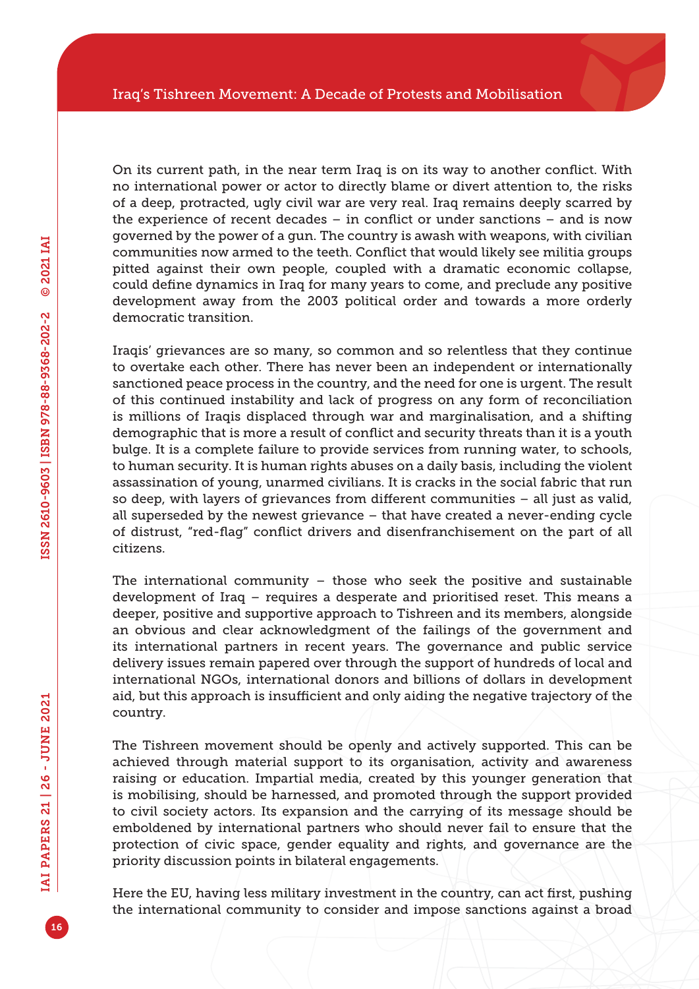On its current path, in the near term Iraq is on its way to another conflict. With no international power or actor to directly blame or divert attention to, the risks of a deep, protracted, ugly civil war are very real. Iraq remains deeply scarred by the experience of recent decades – in conflict or under sanctions – and is now governed by the power of a gun. The country is awash with weapons, with civilian communities now armed to the teeth. Conflict that would likely see militia groups pitted against their own people, coupled with a dramatic economic collapse, could define dynamics in Iraq for many years to come, and preclude any positive development away from the 2003 political order and towards a more orderly democratic transition.

Iraqis' grievances are so many, so common and so relentless that they continue to overtake each other. There has never been an independent or internationally sanctioned peace process in the country, and the need for one is urgent. The result of this continued instability and lack of progress on any form of reconciliation is millions of Iraqis displaced through war and marginalisation, and a shifting demographic that is more a result of conflict and security threats than it is a youth bulge. It is a complete failure to provide services from running water, to schools, to human security. It is human rights abuses on a daily basis, including the violent assassination of young, unarmed civilians. It is cracks in the social fabric that run so deep, with layers of grievances from different communities – all just as valid, all superseded by the newest grievance – that have created a never-ending cycle of distrust, "red-flag" conflict drivers and disenfranchisement on the part of all citizens.

The international community – those who seek the positive and sustainable development of Iraq – requires a desperate and prioritised reset. This means a deeper, positive and supportive approach to Tishreen and its members, alongside an obvious and clear acknowledgment of the failings of the government and its international partners in recent years. The governance and public service delivery issues remain papered over through the support of hundreds of local and international NGOs, international donors and billions of dollars in development aid, but this approach is insufficient and only aiding the negative trajectory of the country.

The Tishreen movement should be openly and actively supported. This can be achieved through material support to its organisation, activity and awareness raising or education. Impartial media, created by this younger generation that is mobilising, should be harnessed, and promoted through the support provided to civil society actors. Its expansion and the carrying of its message should be emboldened by international partners who should never fail to ensure that the protection of civic space, gender equality and rights, and governance are the priority discussion points in bilateral engagements.

Here the EU, having less military investment in the country, can act first, pushing the international community to consider and impose sanctions against a broad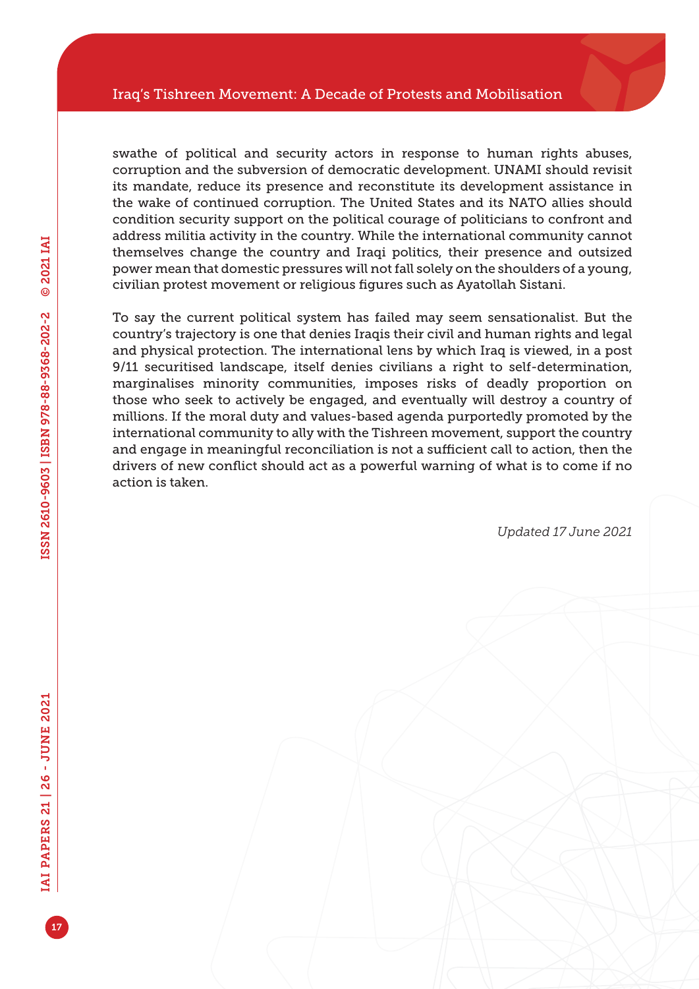swathe of political and security actors in response to human rights abuses, corruption and the subversion of democratic development. UNAMI should revisit its mandate, reduce its presence and reconstitute its development assistance in the wake of continued corruption. The United States and its NATO allies should condition security support on the political courage of politicians to confront and address militia activity in the country. While the international community cannot themselves change the country and Iraqi politics, their presence and outsized power mean that domestic pressures will not fall solely on the shoulders of a young, civilian protest movement or religious figures such as Ayatollah Sistani.

To say the current political system has failed may seem sensationalist. But the country's trajectory is one that denies Iraqis their civil and human rights and legal and physical protection. The international lens by which Iraq is viewed, in a post 9/11 securitised landscape, itself denies civilians a right to self-determination, marginalises minority communities, imposes risks of deadly proportion on those who seek to actively be engaged, and eventually will destroy a country of millions. If the moral duty and values-based agenda purportedly promoted by the international community to ally with the Tishreen movement, support the country and engage in meaningful reconciliation is not a sufficient call to action, then the drivers of new conflict should act as a powerful warning of what is to come if no action is taken.

*Updated 17 June 2021*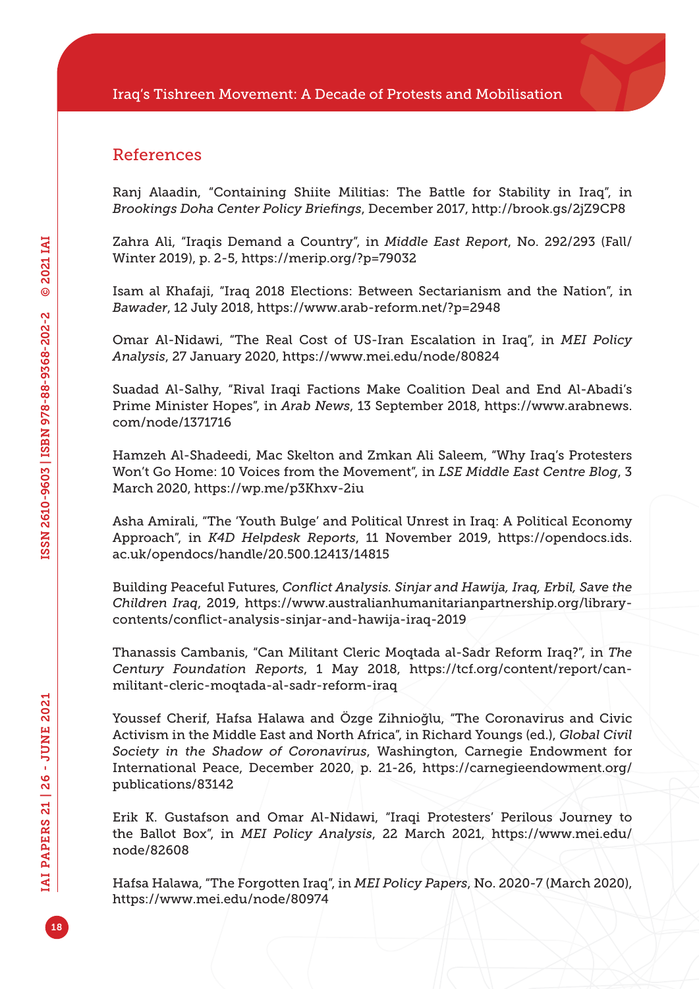#### References

Ranj Alaadin, "Containing Shiite Militias: The Battle for Stability in Iraq", in *Brookings Doha Center Policy Briefings*, December 2017, <http://brook.gs/2jZ9CP8>

Zahra Ali, "Iraqis Demand a Country", in *Middle East Report*, No. 292/293 (Fall/ Winter 2019), p. 2-5, <https://merip.org/?p=79032>

Isam al Khafaji, "Iraq 2018 Elections: Between Sectarianism and the Nation", in *Bawader*, 12 July 2018, <https://www.arab-reform.net/?p=2948>

Omar Al-Nidawi, "The Real Cost of US-Iran Escalation in Iraq", in *MEI Policy Analysis*, 27 January 2020, <https://www.mei.edu/node/80824>

Suadad Al-Salhy, "Rival Iraqi Factions Make Coalition Deal and End Al-Abadi's Prime Minister Hopes", in *Arab News*, 13 September 2018, [https://www.arabnews.](https://www.arabnews.com/node/1371716) [com/node/1371716](https://www.arabnews.com/node/1371716)

Hamzeh Al-Shadeedi, Mac Skelton and Zmkan Ali Saleem, "Why Iraq's Protesters Won't Go Home: 10 Voices from the Movement", in *LSE Middle East Centre Blog*, 3 March 2020, <https://wp.me/p3Khxv-2iu>

Asha Amirali, "The 'Youth Bulge' and Political Unrest in Iraq: A Political Economy Approach", in *K4D Helpdesk Reports*, 11 November 2019, [https://opendocs.ids.](https://opendocs.ids.ac.uk/opendocs/handle/20.500.12413/14815) [ac.uk/opendocs/handle/20.500.12413/14815](https://opendocs.ids.ac.uk/opendocs/handle/20.500.12413/14815)

Building Peaceful Futures, *Conflict Analysis. Sinjar and Hawija, Iraq, Erbil, Save the Children Iraq*, 2019, [https://www.australianhumanitarianpartnership.org/library](https://www.australianhumanitarianpartnership.org/library-contents/conflict-analysis-sinjar-and-hawija-iraq-2019)[contents/conflict-analysis-sinjar-and-hawija-iraq-2019](https://www.australianhumanitarianpartnership.org/library-contents/conflict-analysis-sinjar-and-hawija-iraq-2019)

Thanassis Cambanis, "Can Militant Cleric Moqtada al-Sadr Reform Iraq?", in *The Century Foundation Reports*, 1 May 2018, [https://tcf.org/content/report/can](https://tcf.org/content/report/can-militant-cleric-moqtada-al-sadr-reform-iraq)[militant-cleric-moqtada-al-sadr-reform-iraq](https://tcf.org/content/report/can-militant-cleric-moqtada-al-sadr-reform-iraq)

Youssef Cherif, Hafsa Halawa and Özge Zihnioğlu, "The Coronavirus and Civic Activism in the Middle East and North Africa", in Richard Youngs (ed.), *Global Civil Society in the Shadow of Coronavirus*, Washington, Carnegie Endowment for International Peace, December 2020, p. 21-26, [https://carnegieendowment.org/](https://carnegieendowment.org/publications/83142) [publications/83142](https://carnegieendowment.org/publications/83142)

Erik K. Gustafson and Omar Al-Nidawi, "Iraqi Protesters' Perilous Journey to the Ballot Box", in *MEI Policy Analysis*, 22 March 2021, [https://www.mei.edu/](https://www.mei.edu/node/82608) [node/82608](https://www.mei.edu/node/82608)

Hafsa Halawa, "The Forgotten Iraq", in *MEI Policy Papers*, No. 2020-7 (March 2020), <https://www.mei.edu/node/80974>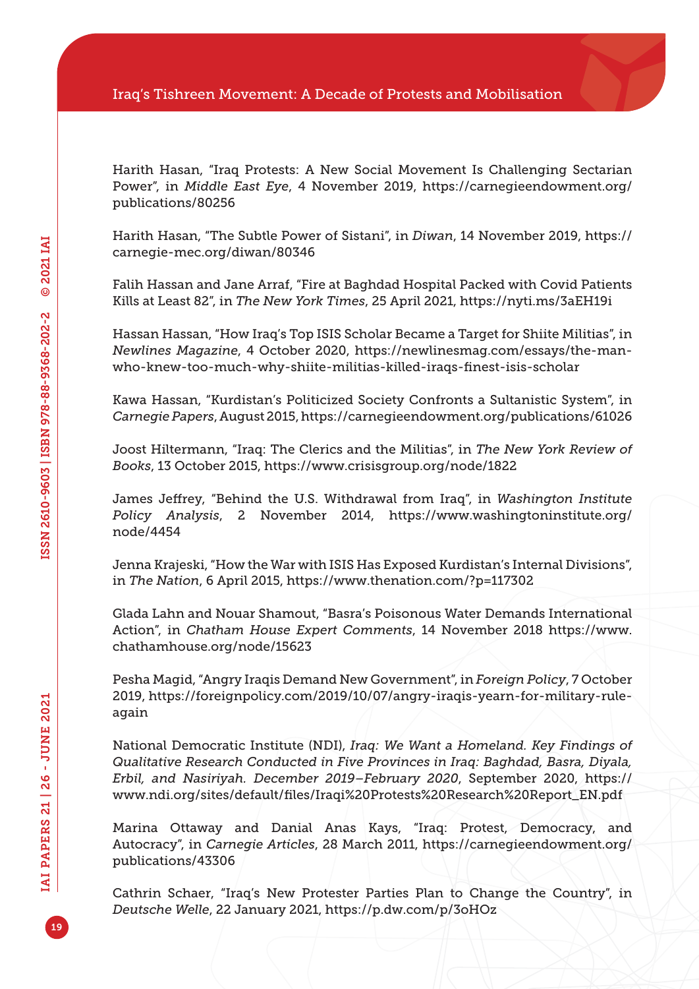Harith Hasan, "Iraq Protests: A New Social Movement Is Challenging Sectarian Power", in *Middle East Eye*, 4 November 2019, [https://carnegieendowment.org/](https://carnegieendowment.org/publications/80256) [publications/80256](https://carnegieendowment.org/publications/80256)

Harith Hasan, "The Subtle Power of Sistani", in *Diwan*, 14 November 2019, [https://](https://carnegie-mec.org/diwan/80346) [carnegie-mec.org/diwan/80346](https://carnegie-mec.org/diwan/80346)

Falih Hassan and Jane Arraf, "Fire at Baghdad Hospital Packed with Covid Patients Kills at Least 82", in *The New York Times*, 25 April 2021, <https://nyti.ms/3aEH19i>

Hassan Hassan, "How Iraq's Top ISIS Scholar Became a Target for Shiite Militias", in *Newlines Magazine*, 4 October 2020, [https://newlinesmag.com/essays/the-man](https://newlinesmag.com/essays/the-man-who-knew-too-much-why-shiite-militias-killed-iraqs-finest-isis-scholar)[who-knew-too-much-why-shiite-militias-killed-iraqs-finest-isis-scholar](https://newlinesmag.com/essays/the-man-who-knew-too-much-why-shiite-militias-killed-iraqs-finest-isis-scholar)

Kawa Hassan, "Kurdistan's Politicized Society Confronts a Sultanistic System", in *Carnegie Papers*, August 2015,<https://carnegieendowment.org/publications/61026>

Joost Hiltermann, "Iraq: The Clerics and the Militias", in *The New York Review of Books*, 13 October 2015,<https://www.crisisgroup.org/node/1822>

James Jeffrey, "Behind the U.S. Withdrawal from Iraq", in *Washington Institute Policy Analysis*, 2 November 2014, [https://www.washingtoninstitute.org/](https://www.washingtoninstitute.org/node/4454) [node/4454](https://www.washingtoninstitute.org/node/4454)

Jenna Krajeski, "How the War with ISIS Has Exposed Kurdistan's Internal Divisions", in *The Nation*, 6 April 2015,<https://www.thenation.com/?p=117302>

Glada Lahn and Nouar Shamout, "Basra's Poisonous Water Demands International Action", in *Chatham House Expert Comments*, 14 November 2018 [https://www.](https://www.chathamhouse.org/node/15623) [chathamhouse.org/node/15623](https://www.chathamhouse.org/node/15623)

Pesha Magid, "Angry Iraqis Demand New Government", in *Foreign Policy*, 7 October 2019, [https://foreignpolicy.com/2019/10/07/angry-iraqis-yearn-for-military-rule](https://foreignpolicy.com/2019/10/07/angry-iraqis-yearn-for-military-rule-again)[again](https://foreignpolicy.com/2019/10/07/angry-iraqis-yearn-for-military-rule-again)

National Democratic Institute (NDI), *Iraq: We Want a Homeland. Key Findings of Qualitative Research Conducted in Five Provinces in Iraq: Baghdad, Basra, Diyala, Erbil, and Nasiriyah. December 2019–February 2020*, September 2020, [https://](https://www.ndi.org/sites/default/files/Iraqi%20Protests%20Research%20Report_EN.pdf) [www.ndi.org/sites/default/files/Iraqi%20Protests%20Research%20Report\\_EN.pdf](https://www.ndi.org/sites/default/files/Iraqi%20Protests%20Research%20Report_EN.pdf)

Marina Ottaway and Danial Anas Kays, "Iraq: Protest, Democracy, and Autocracy", in *Carnegie Articles*, 28 March 2011, [https://carnegieendowment.org/](https://carnegieendowment.org/publications/43306) [publications/43306](https://carnegieendowment.org/publications/43306)

Cathrin Schaer, "Iraq's New Protester Parties Plan to Change the Country", in *Deutsche Welle*, 22 January 2021,<https://p.dw.com/p/3oHOz>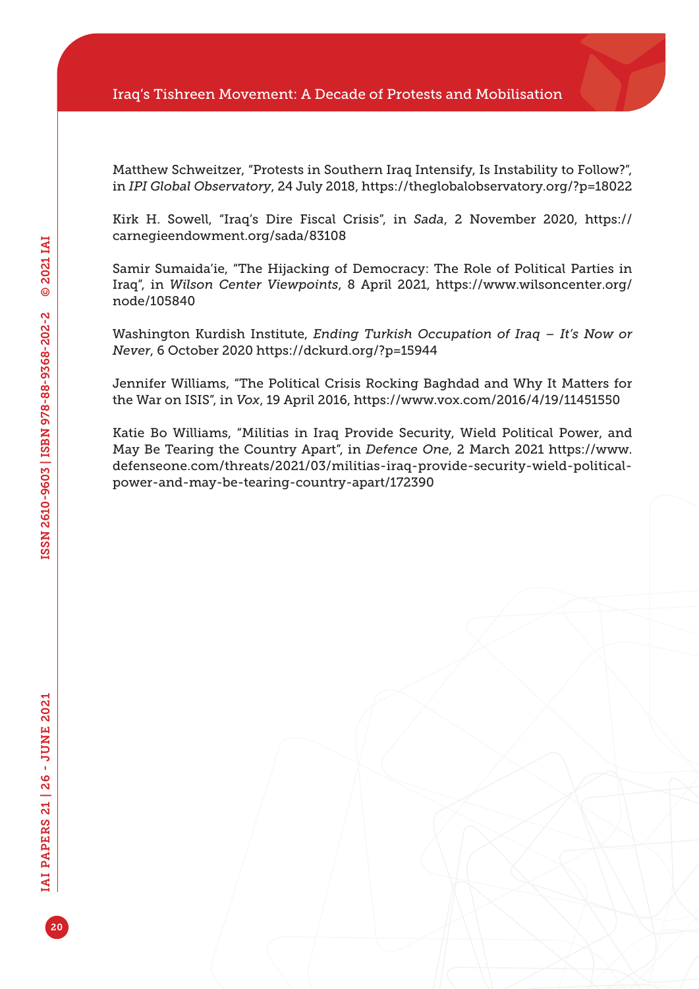Matthew Schweitzer, "Protests in Southern Iraq Intensify, Is Instability to Follow?", in *IPI Global Observatory*, 24 July 2018,<https://theglobalobservatory.org/?p=18022>

Kirk H. Sowell, "Iraq's Dire Fiscal Crisis", in *Sada*, 2 November 2020, [https://](https://carnegieendowment.org/sada/83108) [carnegieendowment.org/sada/83108](https://carnegieendowment.org/sada/83108)

Samir Sumaida'ie, "The Hijacking of Democracy: The Role of Political Parties in Iraq", in *Wilson Center Viewpoints*, 8 April 2021, [https://www.wilsoncenter.org/](https://www.wilsoncenter.org/node/105840) [node/105840](https://www.wilsoncenter.org/node/105840)

Washington Kurdish Institute, *Ending Turkish Occupation of Iraq – It's Now or Never*, 6 October 2020<https://dckurd.org/?p=15944>

Jennifer Williams, "The Political Crisis Rocking Baghdad and Why It Matters for the War on ISIS", in *Vox*, 19 April 2016,<https://www.vox.com/2016/4/19/11451550>

Katie Bo Williams, "Militias in Iraq Provide Security, Wield Political Power, and May Be Tearing the Country Apart", in *Defence One*, 2 March 2021 [https://www.](https://www.defenseone.com/threats/2021/03/militias-iraq-provide-security-wield-political-power-and-may-be-tearing-country-apart/172390) [defenseone.com/threats/2021/03/militias-iraq-provide-security-wield-political](https://www.defenseone.com/threats/2021/03/militias-iraq-provide-security-wield-political-power-and-may-be-tearing-country-apart/172390)[power-and-may-be-tearing-country-apart/172390](https://www.defenseone.com/threats/2021/03/militias-iraq-provide-security-wield-political-power-and-may-be-tearing-country-apart/172390)